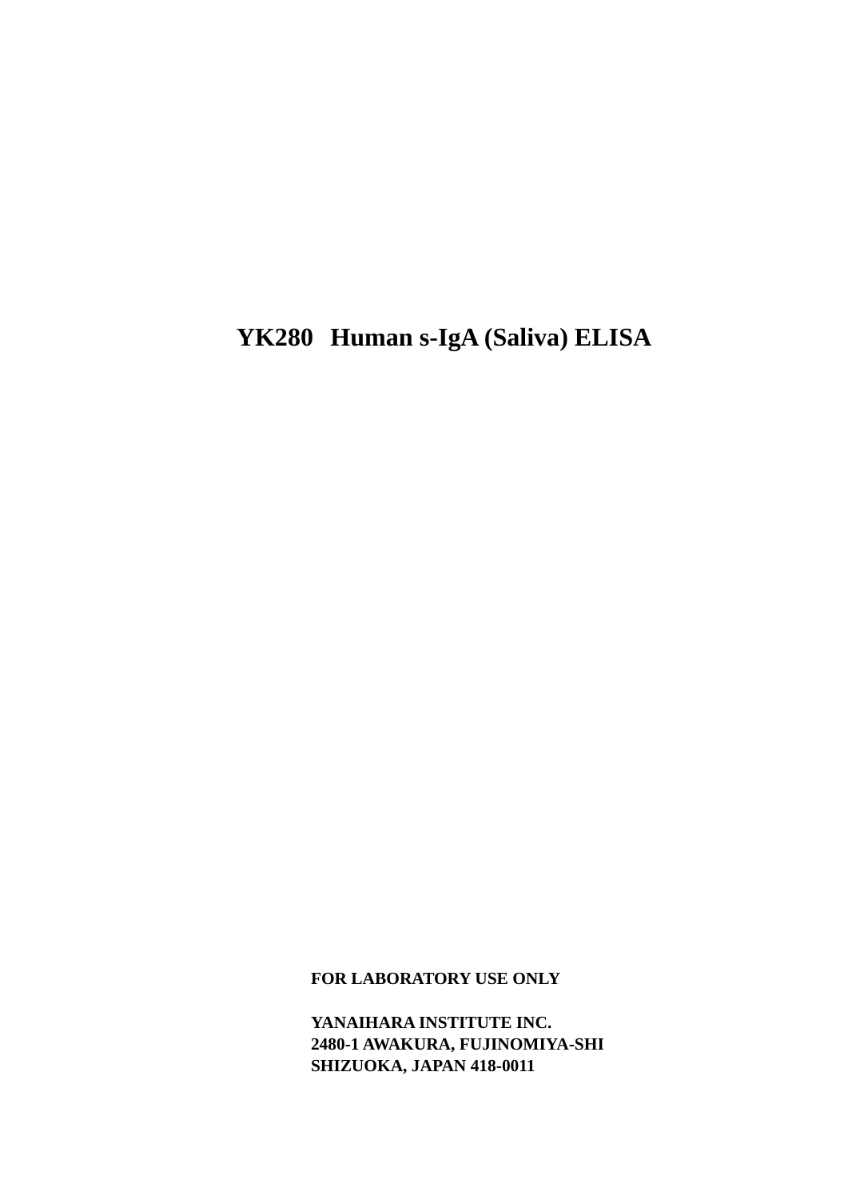# **YK280 Human s-IgA (Saliva) ELISA**

**FOR LABORATORY USE ONLY**

**YANAIHARA INSTITUTE INC. 2480-1 AWAKURA, FUJINOMIYA-SHI SHIZUOKA, JAPAN 418-0011**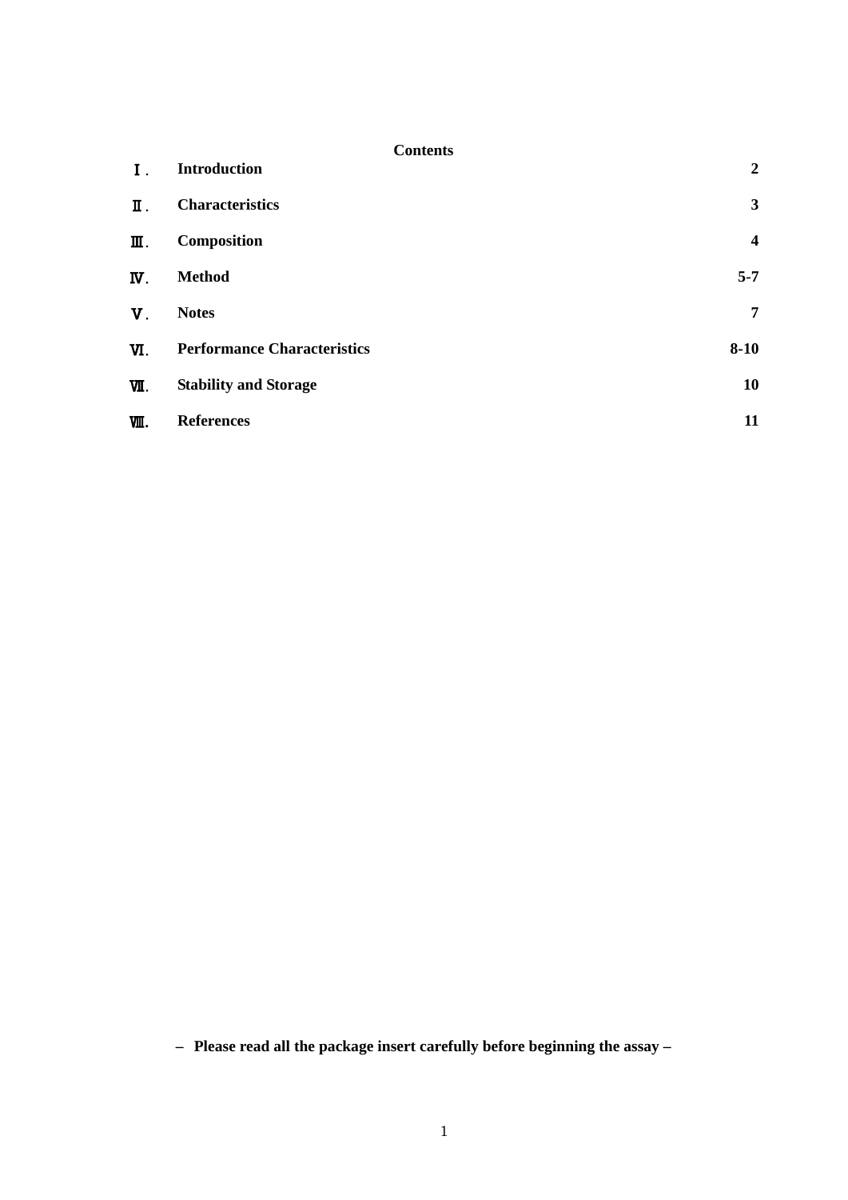|                           | <b>Contents</b>                    |                         |
|---------------------------|------------------------------------|-------------------------|
| Ι.                        | <b>Introduction</b>                | $\boldsymbol{2}$        |
| Π.                        | <b>Characteristics</b>             | 3                       |
| Ⅲ.                        | Composition                        | $\overline{\mathbf{4}}$ |
| $\overline{\mathbf{W}}$ . | <b>Method</b>                      | $5 - 7$                 |
| $V_{\perp}$               | <b>Notes</b>                       | $\overline{7}$          |
| W.                        | <b>Performance Characteristics</b> | $8 - 10$                |
| VІI.                      | <b>Stability and Storage</b>       | 10                      |
| 哑.                        | <b>References</b>                  | 11                      |

**– Please read all the package insert carefully before beginning the assay –**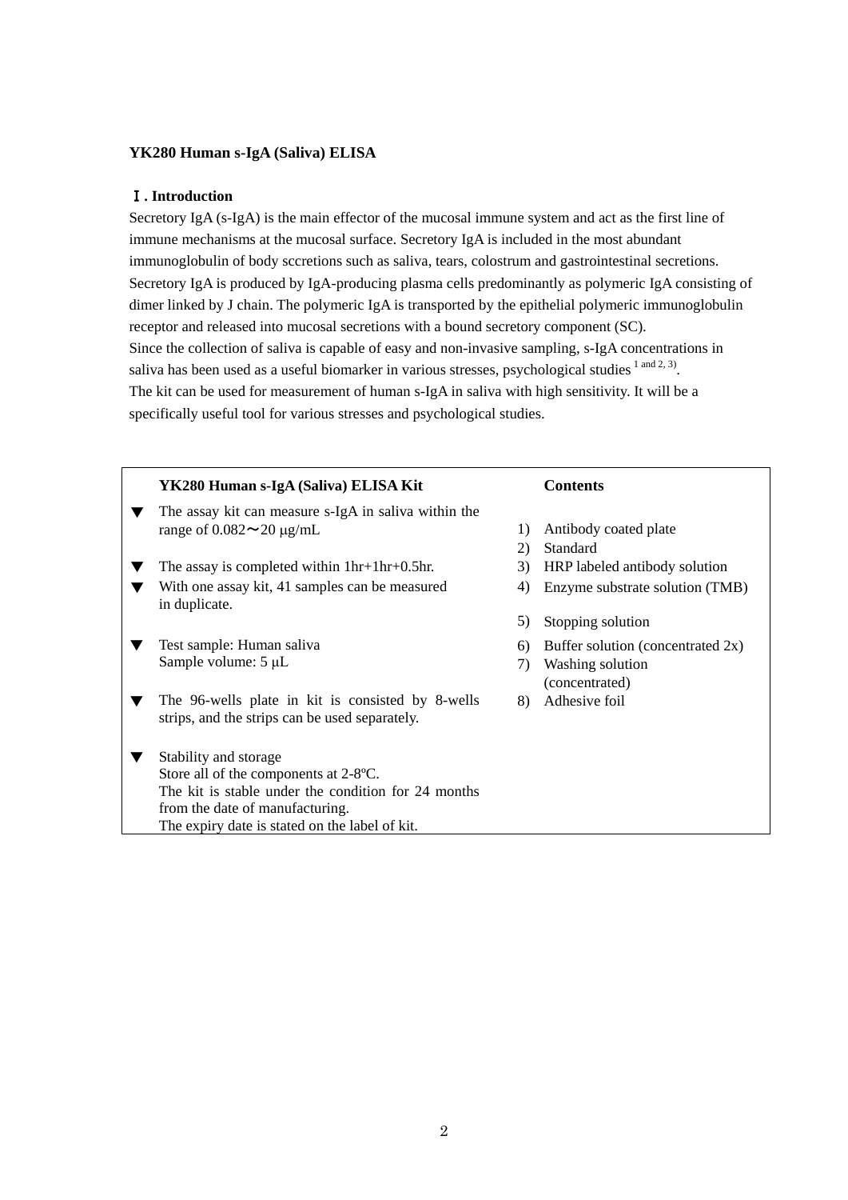# **YK280 Human s-IgA (Saliva) ELISA**

# Ⅰ**. Introduction**

Secretory IgA (s-IgA) is the main effector of the mucosal immune system and act as the first line of immune mechanisms at the mucosal surface. Secretory IgA is included in the most abundant immunoglobulin of body sccretions such as saliva, tears, colostrum and gastrointestinal secretions. Secretory IgA is produced by IgA-producing plasma cells predominantly as polymeric IgA consisting of dimer linked by J chain. The polymeric IgA is transported by the epithelial polymeric immunoglobulin receptor and released into mucosal secretions with a bound secretory component (SC). Since the collection of saliva is capable of easy and non-invasive sampling, s-IgA concentrations in saliva has been used as a useful biomarker in various stresses, psychological studies  $1 \text{ and } 2, 3$ . The kit can be used for measurement of human s-IgA in saliva with high sensitivity. It will be a specifically useful tool for various stresses and psychological studies.

| YK280 Human s-IgA (Saliva) ELISA Kit                                                                |                  | <b>Contents</b>                   |
|-----------------------------------------------------------------------------------------------------|------------------|-----------------------------------|
| The assay kit can measure s-IgA in saliva within the                                                |                  |                                   |
| range of $0.082 \sim 20 \mu g/mL$                                                                   | $\left( \right)$ | Antibody coated plate             |
|                                                                                                     | 2)               | Standard                          |
| The assay is completed within $1hr+1hr+0.5hr$ .                                                     | 3)               | HRP labeled antibody solution     |
| With one assay kit, 41 samples can be measured<br>in duplicate.                                     | 4)               | Enzyme substrate solution (TMB)   |
|                                                                                                     | 5)               | Stopping solution                 |
| Test sample: Human saliva                                                                           | 6)               | Buffer solution (concentrated 2x) |
| Sample volume: $5 \mu L$                                                                            | 7)               | Washing solution                  |
|                                                                                                     |                  | (concentrated)                    |
| The 96-wells plate in kit is consisted by 8-wells<br>strips, and the strips can be used separately. | 8)               | Adhesive foil                     |
| Stability and storage                                                                               |                  |                                   |
| Store all of the components at 2-8°C.                                                               |                  |                                   |
| The kit is stable under the condition for 24 months                                                 |                  |                                   |
| from the date of manufacturing.                                                                     |                  |                                   |
| The expiry date is stated on the label of kit.                                                      |                  |                                   |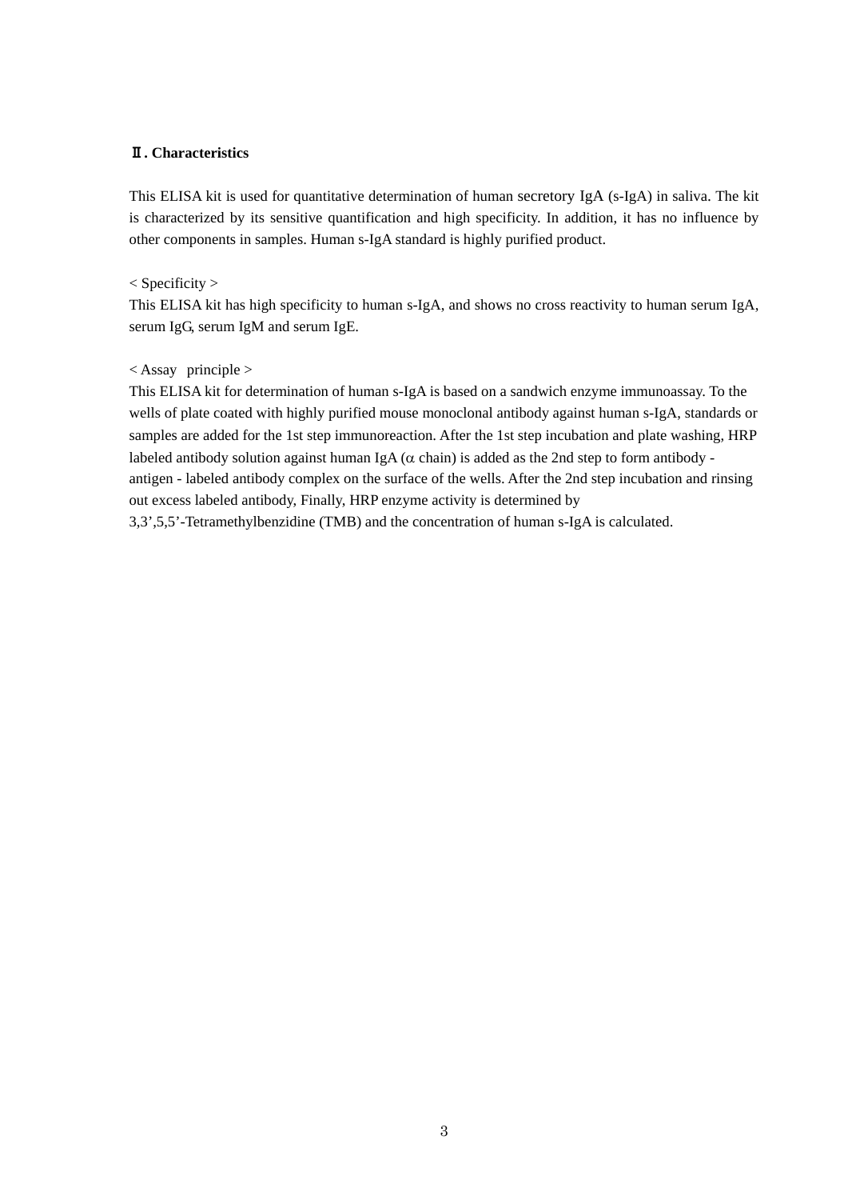# Ⅱ**. Characteristics**

This ELISA kit is used for quantitative determination of human secretory IgA (s-IgA) in saliva. The kit is characterized by its sensitive quantification and high specificity. In addition, it has no influence by other components in samples. Human s-IgA standard is highly purified product.

< Specificity >

This ELISA kit has high specificity to human s-IgA, and shows no cross reactivity to human serum IgA, serum IgG, serum IgM and serum IgE.

# $\langle$  Assay principle  $\rangle$

This ELISA kit for determination of human s-IgA is based on a sandwich enzyme immunoassay. To the wells of plate coated with highly purified mouse monoclonal antibody against human s-IgA, standards or samples are added for the 1st step immunoreaction. After the 1st step incubation and plate washing, HRP labeled antibody solution against human IgA ( $\alpha$  chain) is added as the 2nd step to form antibody antigen - labeled antibody complex on the surface of the wells. After the 2nd step incubation and rinsing out excess labeled antibody, Finally, HRP enzyme activity is determined by

3,3',5,5'-Tetramethylbenzidine (TMB) and the concentration of human s-IgA is calculated.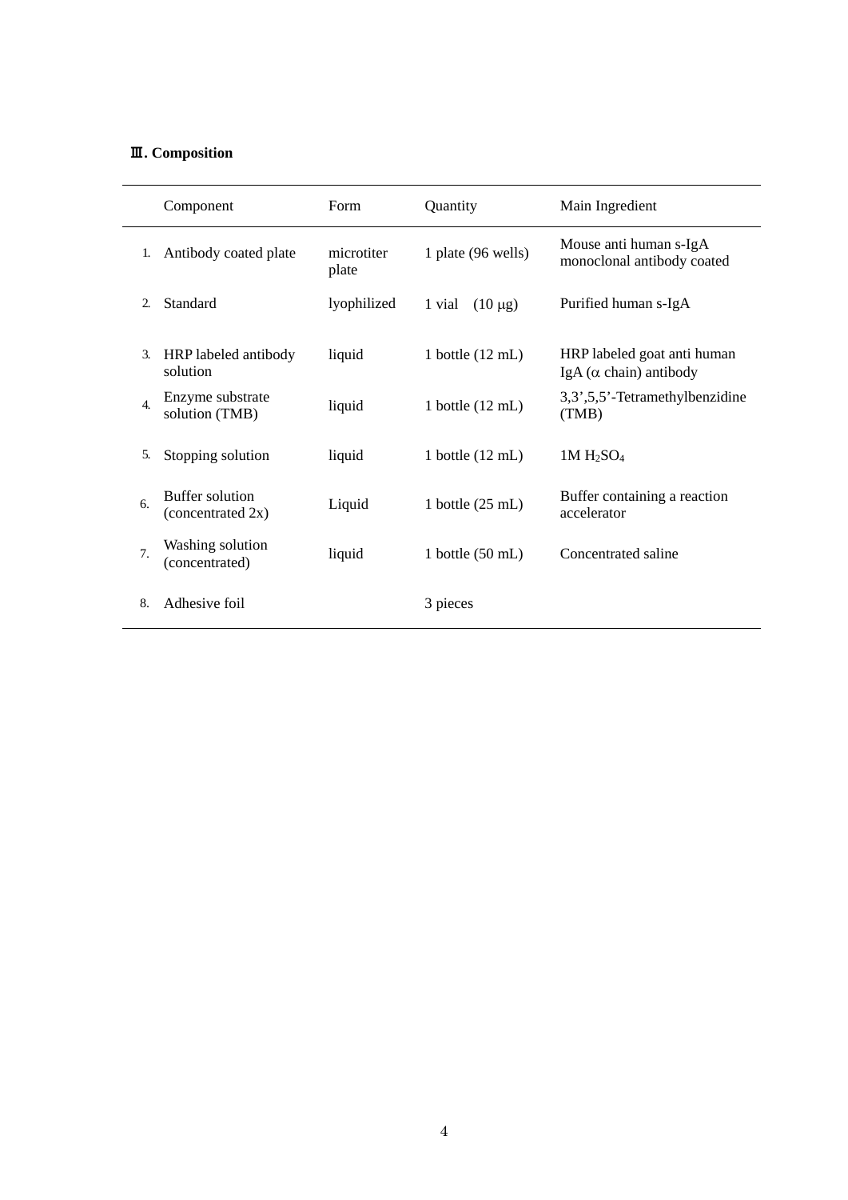# Ⅲ**. Composition**

|                  | Component                                 | Form                | Quantity                   | Main Ingredient                                               |
|------------------|-------------------------------------------|---------------------|----------------------------|---------------------------------------------------------------|
| 1.               | Antibody coated plate                     | microtiter<br>plate | 1 plate (96 wells)         | Mouse anti human s-IgA<br>monoclonal antibody coated          |
| 2.               | Standard                                  | lyophilized         | $(10 \mu g)$<br>1 vial     | Purified human s-IgA                                          |
| 3.               | HRP labeled antibody<br>solution          | liquid              | 1 bottle $(12 \text{ mL})$ | HRP labeled goat anti human<br>IgA ( $\alpha$ chain) antibody |
| $\overline{4}$ . | Enzyme substrate<br>solution (TMB)        | liquid              | 1 bottle $(12 \text{ mL})$ | 3,3',5,5'-Tetramethylbenzidine<br>(TMB)                       |
| 5.               | Stopping solution                         | liquid              | 1 bottle $(12 \text{ mL})$ | $1M H_2SO_4$                                                  |
| 6.               | Buffer solution<br>(concentrated 2x)      | Liquid              | 1 bottle $(25 \text{ mL})$ | Buffer containing a reaction<br>accelerator                   |
| 7.               | <b>Washing solution</b><br>(concentrated) | liquid              | 1 bottle $(50 \text{ mL})$ | Concentrated saline                                           |
| 8.               | Adhesive foil                             |                     | 3 pieces                   |                                                               |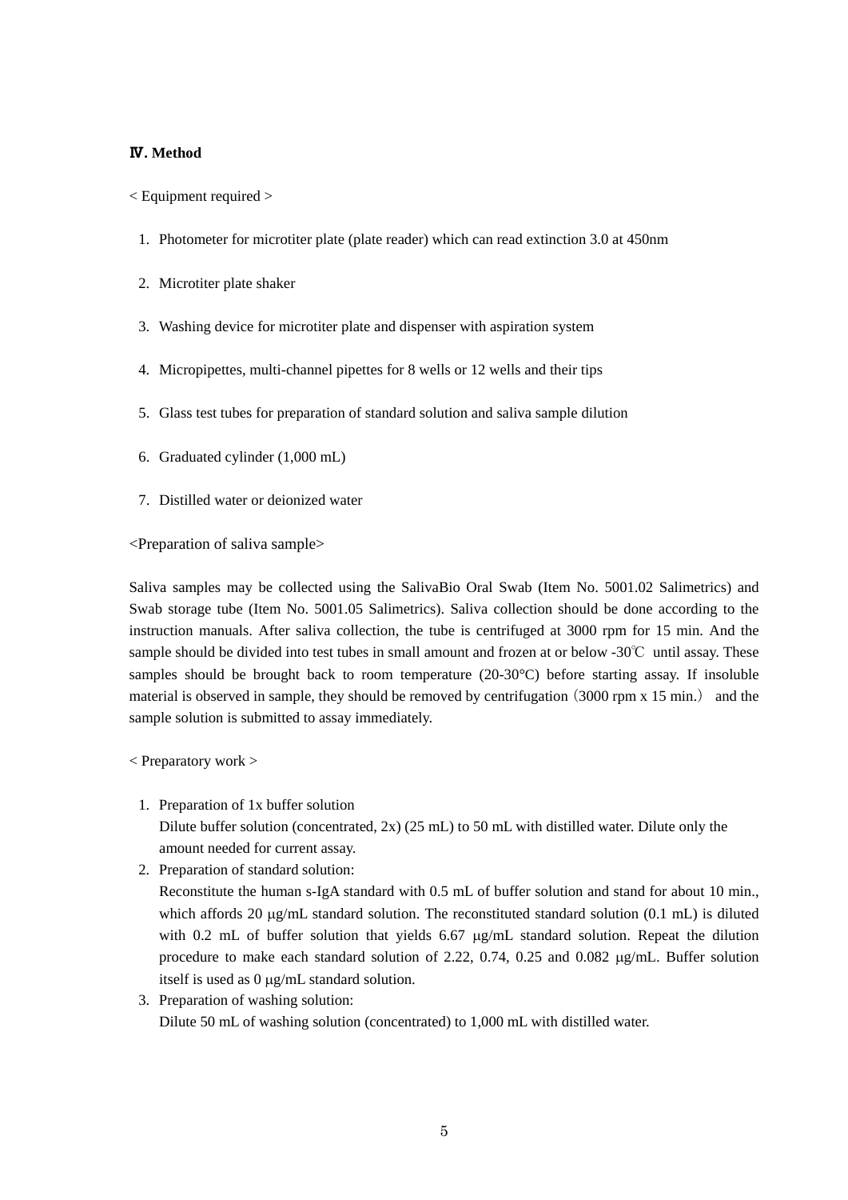## Ⅳ**. Method**

< Equipment required >

- 1. Photometer for microtiter plate (plate reader) which can read extinction 3.0 at 450nm
- 2. Microtiter plate shaker
- 3. Washing device for microtiter plate and dispenser with aspiration system
- 4. Micropipettes, multi-channel pipettes for 8 wells or 12 wells and their tips
- 5. Glass test tubes for preparation of standard solution and saliva sample dilution
- 6. Graduated cylinder (1,000 mL)
- 7. Distilled water or deionized water

<Preparation of saliva sample>

Saliva samples may be collected using the SalivaBio Oral Swab (Item No. 5001.02 Salimetrics) and Swab storage tube (Item No. 5001.05 Salimetrics). Saliva collection should be done according to the instruction manuals. After saliva collection, the tube is centrifuged at 3000 rpm for 15 min. And the sample should be divided into test tubes in small amount and frozen at or below -30℃ until assay. These samples should be brought back to room temperature (20-30°C) before starting assay. If insoluble material is observed in sample, they should be removed by centrifugation  $(3000$  rpm x  $15$  min.) and the sample solution is submitted to assay immediately.

< Preparatory work >

- 1. Preparation of 1x buffer solution Dilute buffer solution (concentrated, 2x) (25 mL) to 50 mL with distilled water. Dilute only the amount needed for current assay.
- 2. Preparation of standard solution: Reconstitute the human s-IgA standard with 0.5 mL of buffer solution and stand for about 10 min., which affords 20  $\mu$ g/mL standard solution. The reconstituted standard solution (0.1 mL) is diluted with 0.2 mL of buffer solution that yields 6.67  $\mu$ g/mL standard solution. Repeat the dilution procedure to make each standard solution of 2.22, 0.74, 0.25 and 0.082 µg/mL. Buffer solution itself is used as 0 µg/mL standard solution.
- 3. Preparation of washing solution: Dilute 50 mL of washing solution (concentrated) to 1,000 mL with distilled water.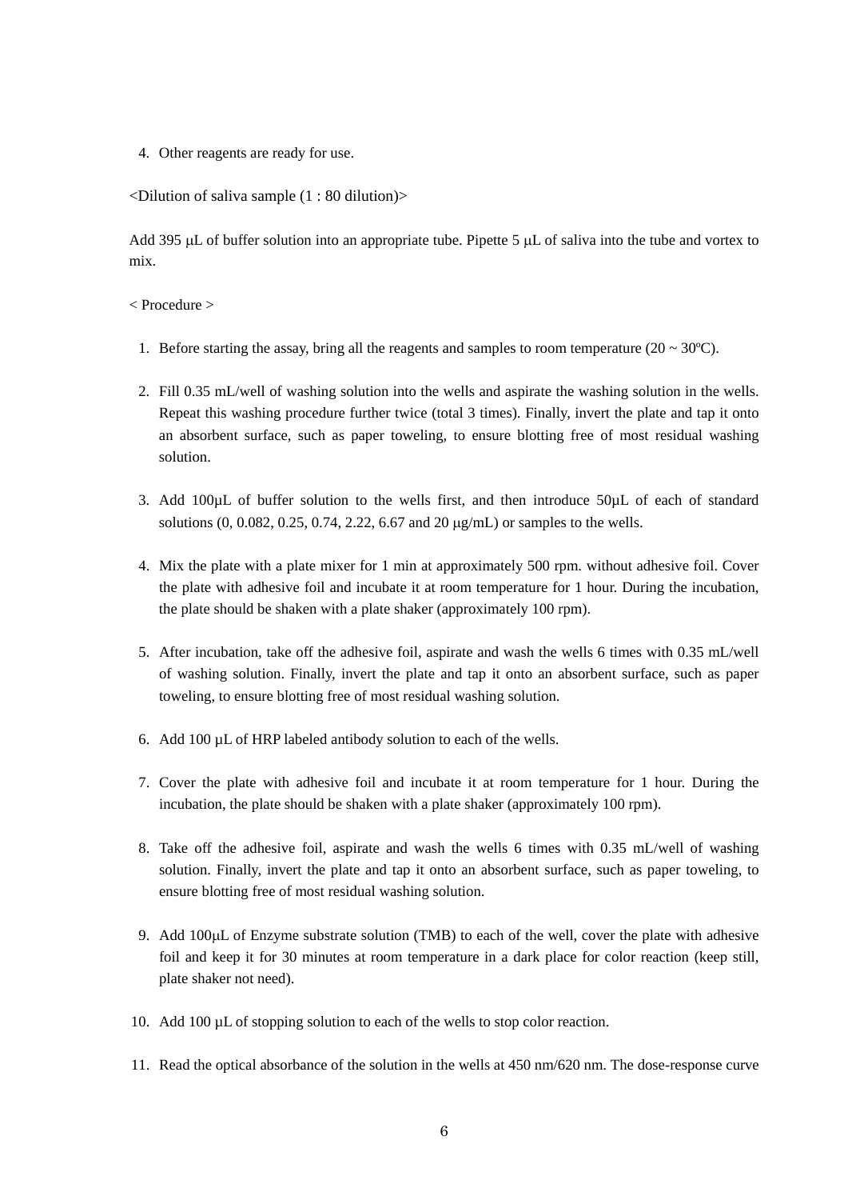4. Other reagents are ready for use.

<Dilution of saliva sample (1 : 80 dilution)>

Add 395 µL of buffer solution into an appropriate tube. Pipette 5 µL of saliva into the tube and vortex to mix.

< Procedure >

- 1. Before starting the assay, bring all the reagents and samples to room temperature ( $20 \sim 30^{\circ}$ C).
- 2. Fill 0.35 mL/well of washing solution into the wells and aspirate the washing solution in the wells. Repeat this washing procedure further twice (total 3 times). Finally, invert the plate and tap it onto an absorbent surface, such as paper toweling, to ensure blotting free of most residual washing solution.
- 3. Add 100µL of buffer solution to the wells first, and then introduce 50µL of each of standard solutions (0, 0.082, 0.25, 0.74, 2.22, 6.67 and 20 µg/mL) or samples to the wells.
- 4. Mix the plate with a plate mixer for 1 min at approximately 500 rpm. without adhesive foil. Cover the plate with adhesive foil and incubate it at room temperature for 1 hour. During the incubation, the plate should be shaken with a plate shaker (approximately 100 rpm).
- 5. After incubation, take off the adhesive foil, aspirate and wash the wells 6 times with 0.35 mL/well of washing solution. Finally, invert the plate and tap it onto an absorbent surface, such as paper toweling, to ensure blotting free of most residual washing solution.
- 6. Add 100 µL of HRP labeled antibody solution to each of the wells.
- 7. Cover the plate with adhesive foil and incubate it at room temperature for 1 hour. During the incubation, the plate should be shaken with a plate shaker (approximately 100 rpm).
- 8. Take off the adhesive foil, aspirate and wash the wells 6 times with 0.35 mL/well of washing solution. Finally, invert the plate and tap it onto an absorbent surface, such as paper toweling, to ensure blotting free of most residual washing solution.
- 9. Add 100µL of Enzyme substrate solution (TMB) to each of the well, cover the plate with adhesive foil and keep it for 30 minutes at room temperature in a dark place for color reaction (keep still, plate shaker not need).
- 10. Add 100 µL of stopping solution to each of the wells to stop color reaction.
- 11. Read the optical absorbance of the solution in the wells at 450 nm/620 nm. The dose-response curve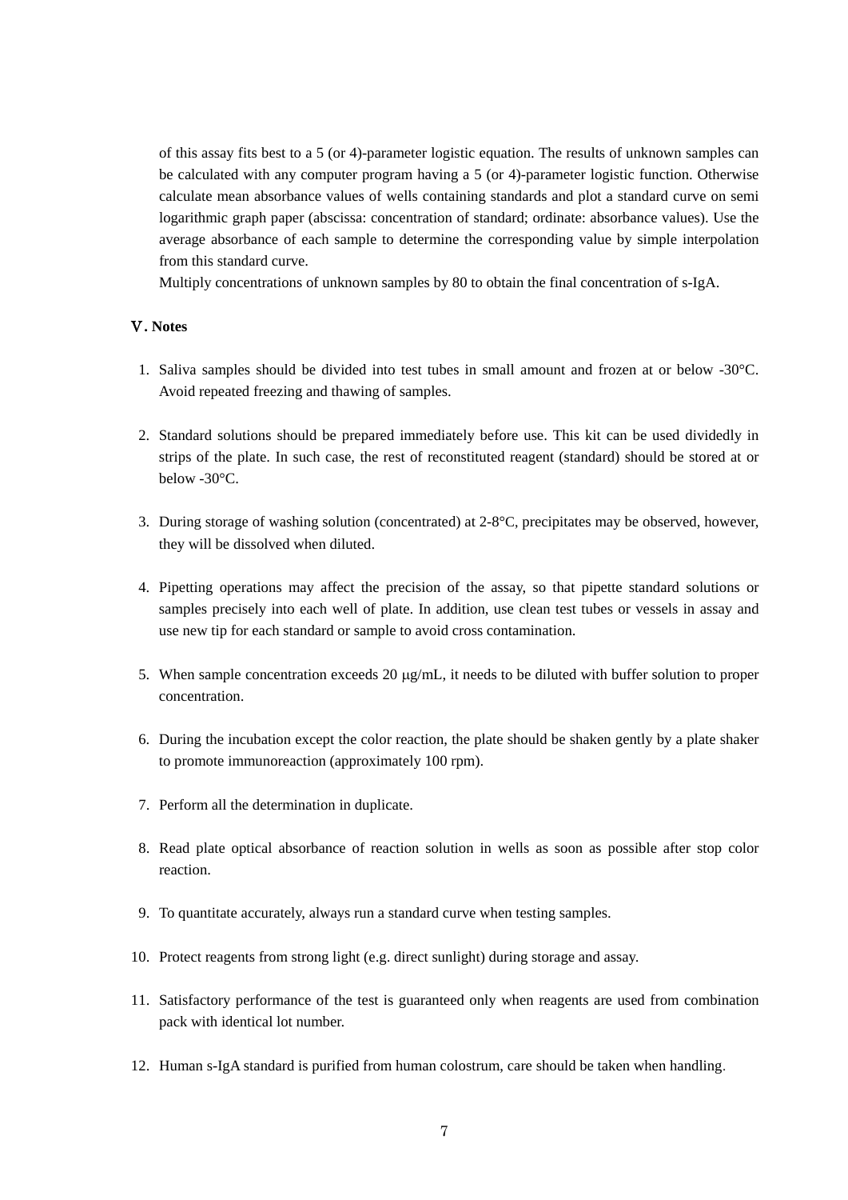of this assay fits best to a 5 (or 4)-parameter logistic equation. The results of unknown samples can be calculated with any computer program having a 5 (or 4)-parameter logistic function. Otherwise calculate mean absorbance values of wells containing standards and plot a standard curve on semi logarithmic graph paper (abscissa: concentration of standard; ordinate: absorbance values). Use the average absorbance of each sample to determine the corresponding value by simple interpolation from this standard curve.

Multiply concentrations of unknown samples by 80 to obtain the final concentration of s-IgA.

## Ⅴ**. Notes**

- 1. Saliva samples should be divided into test tubes in small amount and frozen at or below -30°C. Avoid repeated freezing and thawing of samples.
- 2. Standard solutions should be prepared immediately before use. This kit can be used dividedly in strips of the plate. In such case, the rest of reconstituted reagent (standard) should be stored at or below -30°C.
- 3. During storage of washing solution (concentrated) at 2-8°C, precipitates may be observed, however, they will be dissolved when diluted.
- 4. Pipetting operations may affect the precision of the assay, so that pipette standard solutions or samples precisely into each well of plate. In addition, use clean test tubes or vessels in assay and use new tip for each standard or sample to avoid cross contamination.
- 5. When sample concentration exceeds 20  $\mu$ g/mL, it needs to be diluted with buffer solution to proper concentration.
- 6. During the incubation except the color reaction, the plate should be shaken gently by a plate shaker to promote immunoreaction (approximately 100 rpm).
- 7. Perform all the determination in duplicate.
- 8. Read plate optical absorbance of reaction solution in wells as soon as possible after stop color reaction.
- 9. To quantitate accurately, always run a standard curve when testing samples.
- 10. Protect reagents from strong light (e.g. direct sunlight) during storage and assay.
- 11. Satisfactory performance of the test is guaranteed only when reagents are used from combination pack with identical lot number.
- 12. Human s-IgA standard is purified from human colostrum, [care](javascript:goWordLink(%22Care%22)) [should](javascript:goWordLink(%22should%22)) [be](javascript:goWordLink(%22be%22)) [taken](javascript:goWordLink(%22taken%22)) [when](javascript:goWordLink(%22when%22)) [handling](javascript:goWordLink(%22handling%22)).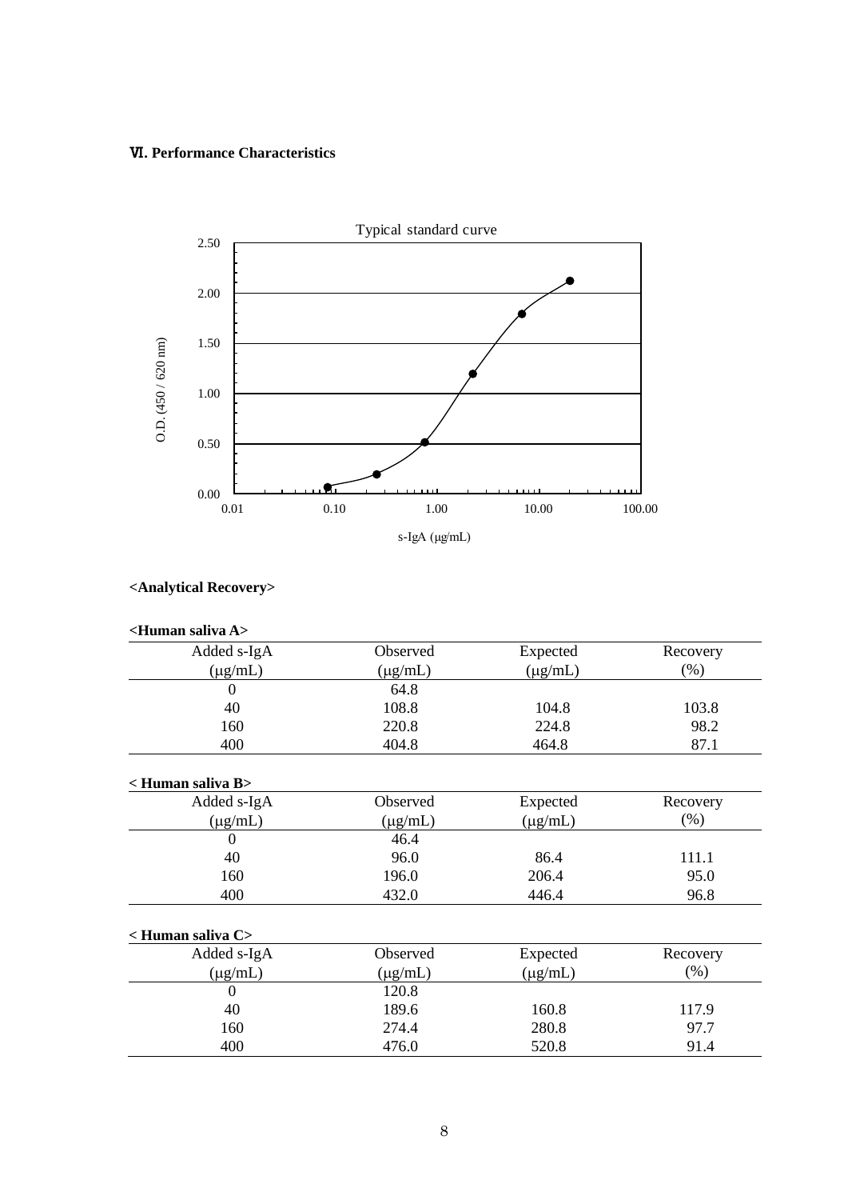# Ⅵ**. Performance Characteristics**



# **<Analytical Recovery>**

| <human a="" saliva=""></human> |              |              |          |
|--------------------------------|--------------|--------------|----------|
| Added s-IgA                    | Observed     | Expected     | Recovery |
| $(\mu g/mL)$                   | $(\mu g/mL)$ | $(\mu g/mL)$ | (% )     |
| $\Omega$                       | 64.8         |              |          |
| 40                             | 108.8        | 104.8        | 103.8    |
| 160                            | 220.8        | 224.8        | 98.2     |
| 400                            | 404.8        | 464.8        | 87.1     |
| < Human saliva B>              |              |              |          |
| Added s-IgA                    | Observed     | Expected     | Recovery |
| $(\mu g/mL)$                   | $(\mu g/mL)$ | $(\mu g/mL)$ | $(\%)$   |
| $\Omega$                       | 46.4         |              |          |
| 40                             | 96.0         | 86.4         | 111.1    |
| 160                            | 196.0        | 206.4        | 95.0     |
| 400                            | 432.0        | 446.4        | 96.8     |
| < Human saliva C>              |              |              |          |
| Added s-IgA                    | Observed     | Expected     | Recovery |
| $(\mu g/mL)$                   | $(\mu g/mL)$ | $(\mu g/mL)$ | (% )     |
| $\theta$                       | 120.8        |              |          |
| 40                             | 189.6        | 160.8        | 117.9    |
| 160                            | 274.4        | 280.8        | 97.7     |
| 400                            | 476.0        | 520.8        | 91.4     |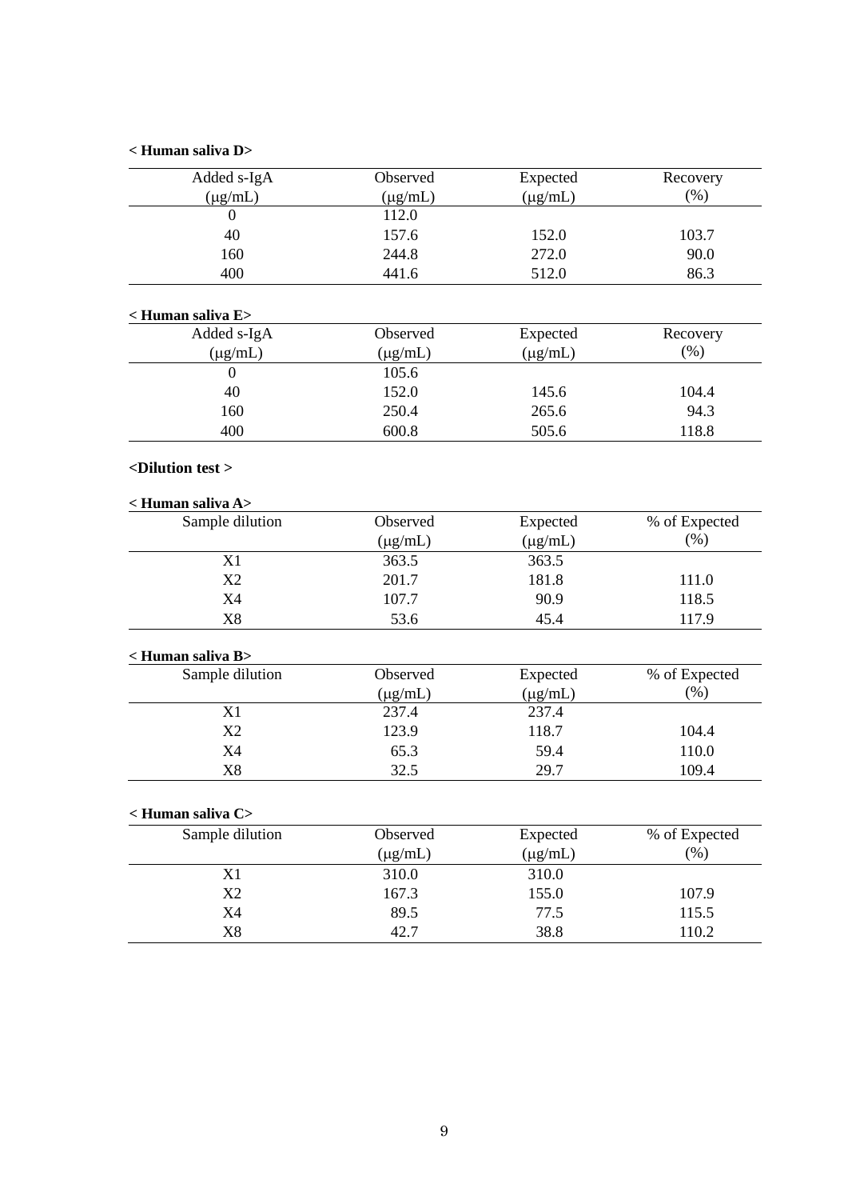# **< Human saliva D>**

| Added s-IgA                    | Observed              | Expected     | Recovery      |
|--------------------------------|-----------------------|--------------|---------------|
|                                |                       | $(\mu g/mL)$ | (% )          |
| $(\mu g/mL)$<br>$\overline{0}$ | $(\mu g/mL)$<br>112.0 |              |               |
| 40                             | 157.6                 | 152.0        | 103.7         |
| 160                            | 244.8                 | 272.0        |               |
|                                |                       |              | 90.0          |
| 400                            | 441.6                 | 512.0        | 86.3          |
| < Human saliva E>              |                       |              |               |
| Added s-IgA                    | Observed              | Expected     | Recovery      |
| $(\mu g/mL)$                   | $(\mu g/mL)$          | $(\mu g/mL)$ | (% )          |
| $\overline{0}$                 | 105.6                 |              |               |
| 40                             | 152.0                 | 145.6        | 104.4         |
| 160                            | 250.4                 | 265.6        | 94.3          |
| 400                            | 600.8                 | 505.6        | 118.8         |
| <dilution test=""></dilution>  |                       |              |               |
| < Human saliva A>              |                       |              |               |
| Sample dilution                | Observed              | Expected     | % of Expected |
|                                | $(\mu g/mL)$          | $(\mu g/mL)$ | (%)           |
| X1                             | 363.5                 | 363.5        |               |
| X2                             | 201.7                 | 181.8        | 111.0         |
| <b>X4</b>                      | 107.7                 | 90.9         | 118.5         |
| X8                             | 53.6                  | 45.4         | 117.9         |
| < Human saliva B>              |                       |              |               |
| Sample dilution                | Observed              | Expected     | % of Expected |
|                                | $(\mu g/mL)$          | $(\mu g/mL)$ | $(\% )$       |
| X1                             | 237.4                 | 237.4        |               |
| X2                             | 123.9                 | 118.7        | 104.4         |
| X4                             | 65.3                  | 59.4         | 110.0         |
| X8                             | 32.5                  | 29.7         | 109.4         |
| < Human saliva C>              |                       |              |               |
| Sample dilution                | Observed              | Expected     | % of Expected |
|                                | $(\mu g/mL)$          | $(\mu g/mL)$ | (%)           |
| X1                             | 310.0                 | 310.0        |               |
| X2                             | 167.3                 | 155.0        | 107.9         |
| X4                             | 89.5                  | 77.5         | 115.5         |
| $\rm X8$                       | 42.7                  | 38.8         | 110.2         |
|                                |                       |              |               |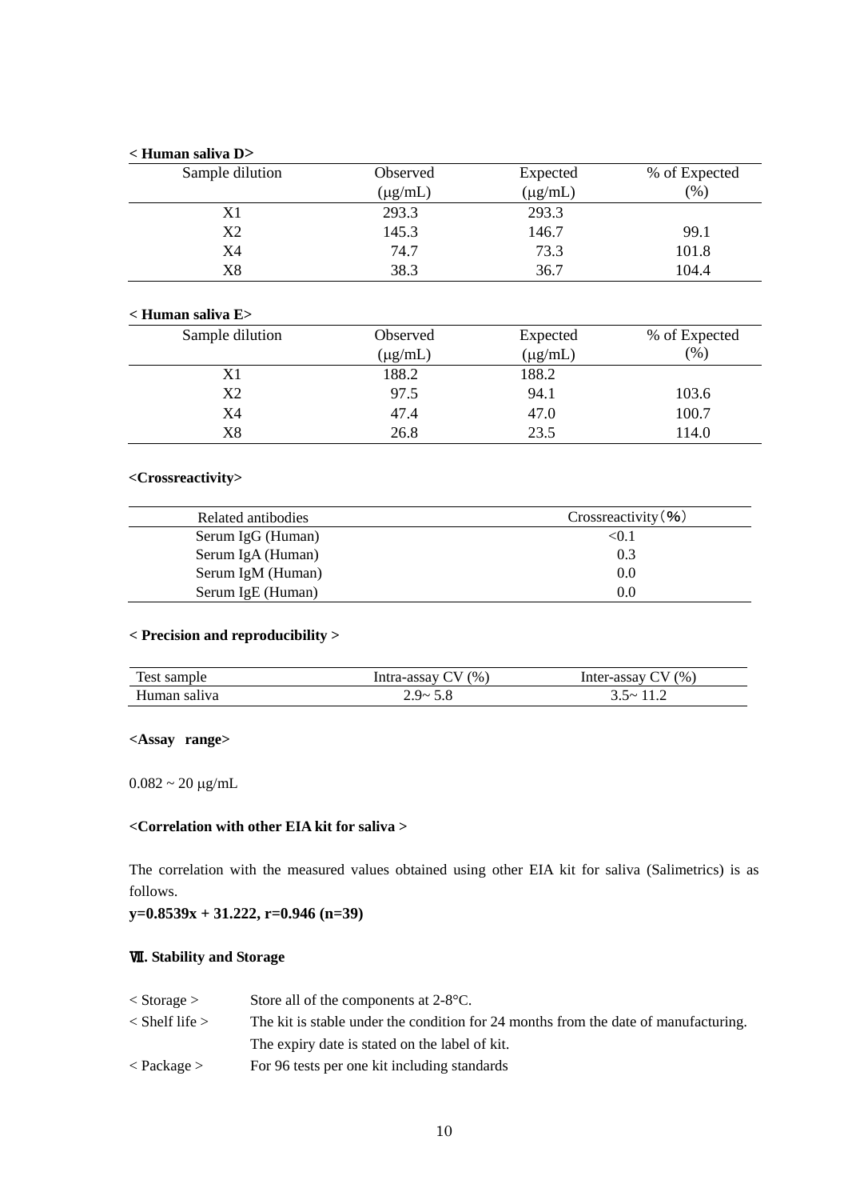#### **< Human saliva D>**

| Sample dilution | Observed     | Expected     | % of Expected |
|-----------------|--------------|--------------|---------------|
|                 | $(\mu g/mL)$ | $(\mu g/mL)$ | (% )          |
| X1              | 293.3        | 293.3        |               |
| X2              | 145.3        | 146.7        | 99.1          |
| X4              | 74.7         | 73.3         | 101.8         |
| $_{\rm X8}$     | 38.3         | 36.7         | 104.4         |

#### **< Human saliva E>**

| Sample dilution | Observed     | Expected     | % of Expected |
|-----------------|--------------|--------------|---------------|
|                 | $(\mu g/mL)$ | $(\mu g/mL)$ | (96)          |
| X1              | 188.2        | 188.2        |               |
| X <sub>2</sub>  | 97.5         | 94.1         | 103.6         |
| X4              | 47.4         | 47.0         | 100.7         |
| $_{\rm X8}$     | 26.8         | 23.5         | 114.0         |

#### **<Crossreactivity>**

| Related antibodies | Crossreactivity (%) |
|--------------------|---------------------|
| Serum IgG (Human)  | < 0.1               |
| Serum IgA (Human)  | 0.3                 |
| Serum IgM (Human)  | 0.0                 |
| Serum IgE (Human)  | 0.0                 |

# **< Precision and reproducibility >**

| Test sample  | (96)<br>Intra-assay | $\gamma$ (%)<br>Inter-assay C |
|--------------|---------------------|-------------------------------|
| Human saliva | ു പ<br>- -          | $\lambda$                     |

## **<Assay range>**

 $0.082\sim20$   $\mu\text{g/mL}$ 

# **<Correlation with other EIA kit for saliva >**

The correlation with the measured values obtained using other EIA kit for saliva (Salimetrics) is as follows.

# **y=0.8539x + 31.222, r=0.946 (n=39)**

# Ⅶ**. Stability and Storage**

| $\langle$ Storage $\rangle$ | Store all of the components at $2-8$ °C.                                            |
|-----------------------------|-------------------------------------------------------------------------------------|
| $\langle$ Shelf life $>$    | The kit is stable under the condition for 24 months from the date of manufacturing. |
|                             | The expiry date is stated on the label of kit.                                      |
| $\langle$ Package $>$       | For 96 tests per one kit including standards                                        |